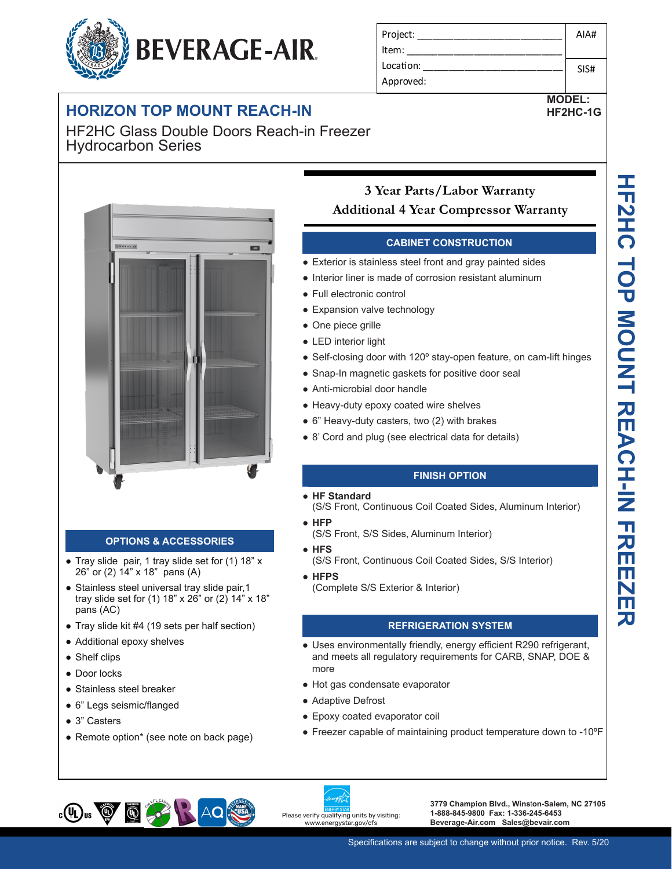# **BEVERAGE-AIR.**

## **HORIZON TOP MOUNT REACH-IN**

**-10 Secure temperature-sensitive product for worry-free operation** HF2HC Glass Double Doors Reach-in Freezer Hydrocarbon Series



#### **OPTIONS & ACCESSORIES**

- Tray slide pair, 1 tray slide set for (1) 18" x 26" or (2) 14" x 18" pans (A)
- Stainless steel universal tray slide pair, 1 tray slide set for (1) 18" x 26" or (2) 14" x 18" pans (AC)
- Tray slide kit #4 (19 sets per half section)
- Additional epoxy shelves
- Shelf clips
- Door locks
- Stainless steel breaker
- 6" Legs seismic/flanged
- 3" Casters
- Remote option\* (see note on back page)

#### Project: Item: Location: Approved: AIA# SIS#

# **MODEL:**

**HF2HC-1G**

### **Secure temperature-sensitive product for worry-free operation 3 Year Parts/Labor Warranty LED indicate in additional 4 Year Compressor Warranty**

#### **CABINET CONSTRUCTION**

- **Secure temperature operator operation** Exterior is stainless steel front and gray painted sides
	- **LED indicator of the indicator indicator** of corrosion resistant aluminum
		- Full electronic control
		- Expansion valve technology
		- One piece grille

**Easy-access test switch for health inspectors**

- LED interior light
- Self-closing door with 120° stay-open feature, on cam-lift hinges
- Snap-In magnetic gaskets for positive door seal
- Anti-microbial door handle
- Heavy-duty epoxy coated wire shelves
- 6" Heavy-duty casters, two (2) with brakes
- 8' Cord and plug (see electrical data for details)

#### **FINISH OPTION**

- **HF Standard**
- (S/S Front, Continuous Coil Coated Sides, Aluminum Interior)
- **HFP**
	- (S/S Front, S/S Sides, Aluminum Interior)
- **HFS**
	- (S/S Front, Continuous Coil Coated Sides, S/S Interior)
- **HFPS**
	- (Complete S/S Exterior & Interior)

#### **REFRIGERATION SYSTEM**

- Uses environmentally friendly, energy efficient R290 refrigerant, and meets all regulatory requirements for CARB, SNAP, DOE & more
- Hot gas condensate evaporator
- Adaptive Defrost
- Epoxy coated evaporator coil
- Freezer capable of maintaining product temperature down to -10ºF



**3779 Champion Blvd., Wins**t**on-Salem, NC 27105 1-888-845-9800 Fax: 1-336-245-6453 Beverage-Air.com Sales@bevair.com**